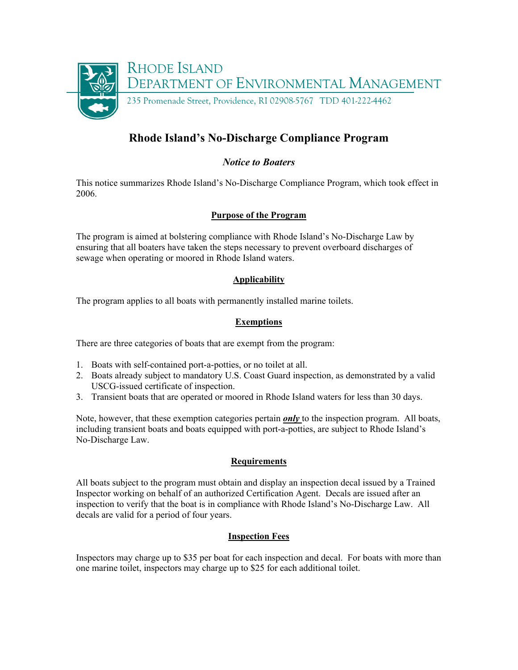

# **Rhode Island's No-Discharge Compliance Program**

# *Notice to Boaters*

This notice summarizes Rhode Island's No-Discharge Compliance Program, which took effect in 2006.

## **Purpose of the Program**

The program is aimed at bolstering compliance with Rhode Island's No-Discharge Law by ensuring that all boaters have taken the steps necessary to prevent overboard discharges of sewage when operating or moored in Rhode Island waters.

## **Applicability**

The program applies to all boats with permanently installed marine toilets.

## **Exemptions**

There are three categories of boats that are exempt from the program:

- 1. Boats with self-contained port-a-potties, or no toilet at all.
- 2. Boats already subject to mandatory U.S. Coast Guard inspection, as demonstrated by a valid USCG-issued certificate of inspection.
- 3. Transient boats that are operated or moored in Rhode Island waters for less than 30 days.

Note, however, that these exemption categories pertain *only* to the inspection program. All boats, including transient boats and boats equipped with port-a-potties, are subject to Rhode Island's No-Discharge Law.

## **Requirements**

All boats subject to the program must obtain and display an inspection decal issued by a Trained Inspector working on behalf of an authorized Certification Agent. Decals are issued after an inspection to verify that the boat is in compliance with Rhode Island's No-Discharge Law. All decals are valid for a period of four years.

## **Inspection Fees**

Inspectors may charge up to \$35 per boat for each inspection and decal. For boats with more than one marine toilet, inspectors may charge up to \$25 for each additional toilet.